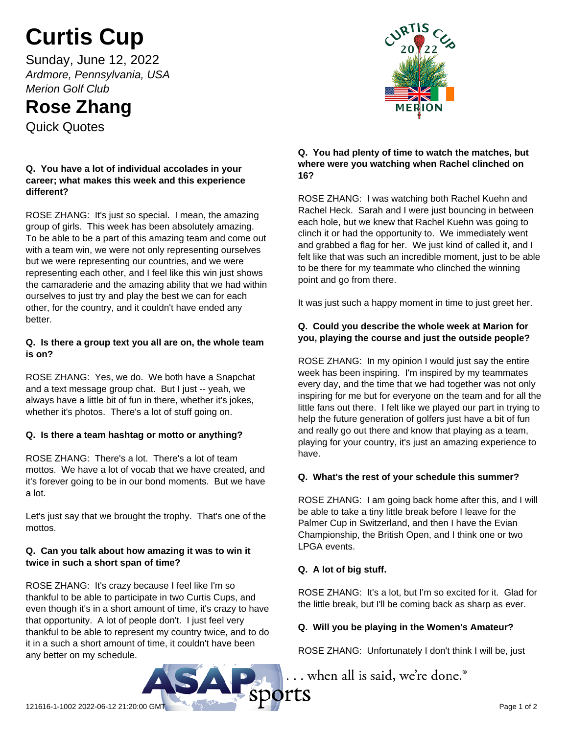# **Curtis Cup**

Sunday, June 12, 2022 *Ardmore, Pennsylvania, USA Merion Golf Club*

# **Rose Zhang**

Quick Quotes

#### **Q. You have a lot of individual accolades in your career; what makes this week and this experience different?**

ROSE ZHANG: It's just so special. I mean, the amazing group of girls. This week has been absolutely amazing. To be able to be a part of this amazing team and come out with a team win, we were not only representing ourselves but we were representing our countries, and we were representing each other, and I feel like this win just shows the camaraderie and the amazing ability that we had within ourselves to just try and play the best we can for each other, for the country, and it couldn't have ended any better.

#### **Q. Is there a group text you all are on, the whole team is on?**

ROSE ZHANG: Yes, we do. We both have a Snapchat and a text message group chat. But I just -- yeah, we always have a little bit of fun in there, whether it's jokes, whether it's photos. There's a lot of stuff going on.

## **Q. Is there a team hashtag or motto or anything?**

ROSE ZHANG: There's a lot. There's a lot of team mottos. We have a lot of vocab that we have created, and it's forever going to be in our bond moments. But we have a lot.

Let's just say that we brought the trophy. That's one of the mottos.

#### **Q. Can you talk about how amazing it was to win it twice in such a short span of time?**

ROSE ZHANG: It's crazy because I feel like I'm so thankful to be able to participate in two Curtis Cups, and even though it's in a short amount of time, it's crazy to have that opportunity. A lot of people don't. I just feel very thankful to be able to represent my country twice, and to do it in a such a short amount of time, it couldn't have been any better on my schedule.



#### **Q. You had plenty of time to watch the matches, but where were you watching when Rachel clinched on 16?**

ROSE ZHANG: I was watching both Rachel Kuehn and Rachel Heck. Sarah and I were just bouncing in between each hole, but we knew that Rachel Kuehn was going to clinch it or had the opportunity to. We immediately went and grabbed a flag for her. We just kind of called it, and I felt like that was such an incredible moment, just to be able to be there for my teammate who clinched the winning point and go from there.

It was just such a happy moment in time to just greet her.

#### **Q. Could you describe the whole week at Marion for you, playing the course and just the outside people?**

ROSE ZHANG: In my opinion I would just say the entire week has been inspiring. I'm inspired by my teammates every day, and the time that we had together was not only inspiring for me but for everyone on the team and for all the little fans out there. I felt like we played our part in trying to help the future generation of golfers just have a bit of fun and really go out there and know that playing as a team, playing for your country, it's just an amazing experience to have.

#### **Q. What's the rest of your schedule this summer?**

ROSE ZHANG: I am going back home after this, and I will be able to take a tiny little break before I leave for the Palmer Cup in Switzerland, and then I have the Evian Championship, the British Open, and I think one or two LPGA events.

## **Q. A lot of big stuff.**

ROSE ZHANG: It's a lot, but I'm so excited for it. Glad for the little break, but I'll be coming back as sharp as ever.

#### **Q. Will you be playing in the Women's Amateur?**

ROSE ZHANG: Unfortunately I don't think I will be, just

... when all is said, we're done.<sup>®</sup>